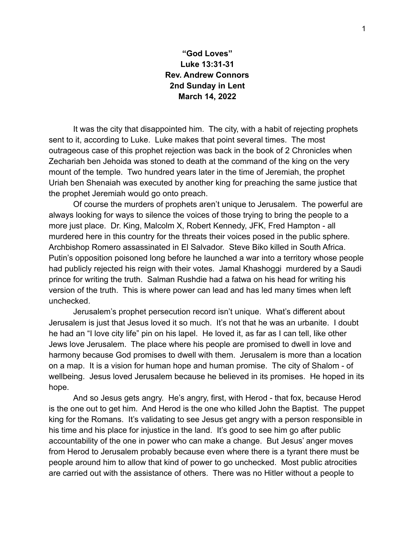## **"God Loves" Luke 13:31-31 Rev. Andrew Connors 2nd Sunday in Lent March 14, 2022**

It was the city that disappointed him. The city, with a habit of rejecting prophets sent to it, according to Luke. Luke makes that point several times. The most outrageous case of this prophet rejection was back in the book of 2 Chronicles when Zechariah ben Jehoida was stoned to death at the command of the king on the very mount of the temple. Two hundred years later in the time of Jeremiah, the prophet Uriah ben Shenaiah was executed by another king for preaching the same justice that the prophet Jeremiah would go onto preach.

Of course the murders of prophets aren't unique to Jerusalem. The powerful are always looking for ways to silence the voices of those trying to bring the people to a more just place. Dr. King, Malcolm X, Robert Kennedy, JFK, Fred Hampton - all murdered here in this country for the threats their voices posed in the public sphere. Archbishop Romero assassinated in El Salvador. Steve Biko killed in South Africa. Putin's opposition poisoned long before he launched a war into a territory whose people had publicly rejected his reign with their votes. Jamal Khashoggi murdered by a Saudi prince for writing the truth. Salman Rushdie had a fatwa on his head for writing his version of the truth. This is where power can lead and has led many times when left unchecked.

Jerusalem's prophet persecution record isn't unique. What's different about Jerusalem is just that Jesus loved it so much. It's not that he was an urbanite. I doubt he had an "I love city life" pin on his lapel. He loved it, as far as I can tell, like other Jews love Jerusalem. The place where his people are promised to dwell in love and harmony because God promises to dwell with them. Jerusalem is more than a location on a map. It is a vision for human hope and human promise. The city of Shalom - of wellbeing. Jesus loved Jerusalem because he believed in its promises. He hoped in its hope.

And so Jesus gets angry. He's angry, first, with Herod - that fox, because Herod is the one out to get him. And Herod is the one who killed John the Baptist. The puppet king for the Romans. It's validating to see Jesus get angry with a person responsible in his time and his place for injustice in the land. It's good to see him go after public accountability of the one in power who can make a change. But Jesus' anger moves from Herod to Jerusalem probably because even where there is a tyrant there must be people around him to allow that kind of power to go unchecked. Most public atrocities are carried out with the assistance of others. There was no Hitler without a people to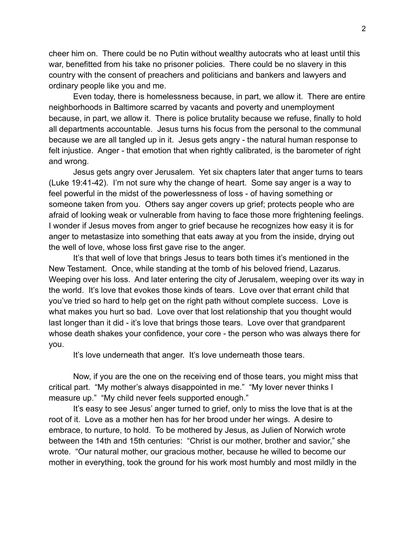cheer him on. There could be no Putin without wealthy autocrats who at least until this war, benefitted from his take no prisoner policies. There could be no slavery in this country with the consent of preachers and politicians and bankers and lawyers and ordinary people like you and me.

Even today, there is homelessness because, in part, we allow it. There are entire neighborhoods in Baltimore scarred by vacants and poverty and unemployment because, in part, we allow it. There is police brutality because we refuse, finally to hold all departments accountable. Jesus turns his focus from the personal to the communal because we are all tangled up in it. Jesus gets angry - the natural human response to felt injustice. Anger - that emotion that when rightly calibrated, is the barometer of right and wrong.

Jesus gets angry over Jerusalem. Yet six chapters later that anger turns to tears (Luke 19:41-42). I'm not sure why the change of heart. Some say anger is a way to feel powerful in the midst of the powerlessness of loss - of having something or someone taken from you. Others say anger covers up grief; protects people who are afraid of looking weak or vulnerable from having to face those more frightening feelings. I wonder if Jesus moves from anger to grief because he recognizes how easy it is for anger to metastasize into something that eats away at you from the inside, drying out the well of love, whose loss first gave rise to the anger.

It's that well of love that brings Jesus to tears both times it's mentioned in the New Testament. Once, while standing at the tomb of his beloved friend, Lazarus. Weeping over his loss. And later entering the city of Jerusalem, weeping over its way in the world. It's love that evokes those kinds of tears. Love over that errant child that you've tried so hard to help get on the right path without complete success. Love is what makes you hurt so bad. Love over that lost relationship that you thought would last longer than it did - it's love that brings those tears. Love over that grandparent whose death shakes your confidence, your core - the person who was always there for you.

It's love underneath that anger. It's love underneath those tears.

Now, if you are the one on the receiving end of those tears, you might miss that critical part. "My mother's always disappointed in me." "My lover never thinks I measure up." "My child never feels supported enough."

It's easy to see Jesus' anger turned to grief, only to miss the love that is at the root of it. Love as a mother hen has for her brood under her wings. A desire to embrace, to nurture, to hold. To be mothered by Jesus, as Julien of Norwich wrote between the 14th and 15th centuries: "Christ is our mother, brother and savior," she wrote. "Our natural mother, our gracious mother, because he willed to become our mother in everything, took the ground for his work most humbly and most mildly in the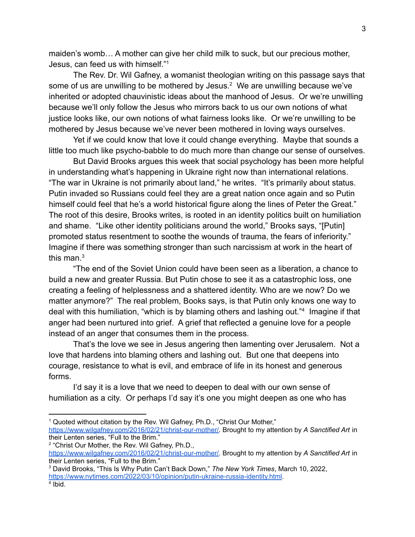maiden's womb… A mother can give her child milk to suck, but our precious mother, Jesus, can feed us with himself."<sup>1</sup>

The Rev. Dr. Wil Gafney, a womanist theologian writing on this passage says that some of us are unwilling to be mothered by Jesus.<sup>2</sup> We are unwilling because we've inherited or adopted chauvinistic ideas about the manhood of Jesus. Or we're unwilling because we'll only follow the Jesus who mirrors back to us our own notions of what justice looks like, our own notions of what fairness looks like. Or we're unwilling to be mothered by Jesus because we've never been mothered in loving ways ourselves.

Yet if we could know that love it could change everything. Maybe that sounds a little too much like psycho-babble to do much more than change our sense of ourselves.

But David Brooks argues this week that social psychology has been more helpful in understanding what's happening in Ukraine right now than international relations. "The war in Ukraine is not primarily about land," he writes. "It's primarily about status. Putin invaded so Russians could feel they are a great nation once again and so Putin himself could feel that he's a world historical figure along the lines of Peter the Great." The root of this desire, Brooks writes, is rooted in an identity politics built on humiliation and shame. "Like other identity politicians around the world," Brooks says, "[Putin] promoted status resentment to soothe the wounds of trauma, the fears of inferiority." Imagine if there was something stronger than such narcissism at work in the heart of this man. $3$ 

"The end of the Soviet Union could have been seen as a liberation, a chance to build a new and greater Russia. But Putin chose to see it as a catastrophic loss, one creating a feeling of helplessness and a shattered identity. Who are we now? Do we matter anymore?" The real problem, Books says, is that Putin only knows one way to deal with this humiliation, "which is by blaming others and lashing out."<sup>4</sup> Imagine if that anger had been nurtured into grief. A grief that reflected a genuine love for a people instead of an anger that consumes them in the process.

That's the love we see in Jesus angering then lamenting over Jerusalem. Not a love that hardens into blaming others and lashing out. But one that deepens into courage, resistance to what is evil, and embrace of life in its honest and generous forms.

I'd say it is a love that we need to deepen to deal with our own sense of humiliation as a city. Or perhaps I'd say it's one you might deepen as one who has

<sup>&</sup>lt;sup>1</sup> Quoted without citation by the Rev. Wil Gafney, Ph.D., "Christ Our Mother," [https://www.wilgafney.com/2016/02/21/christ-our-mother/.](https://www.wilgafney.com/2016/02/21/christ-our-mother/) Brought to my attention by *A Sanctified Art* in their Lenten series, "Full to the Brim."

<sup>&</sup>lt;sup>2</sup> "Christ Our Mother, the Rev. Wil Gafney, Ph.D., [https://www.wilgafney.com/2016/02/21/christ-our-mother/.](https://www.wilgafney.com/2016/02/21/christ-our-mother/) Brought to my attention by *A Sanctified Art* in their Lenten series, "Full to the Brim."

<sup>3</sup> David Brooks, "This Is Why Putin Can't Back Down," *The New York Times*, March 10, 2022, <https://www.nytimes.com/2022/03/10/opinion/putin-ukraine-russia-identity.html>.

<sup>4</sup> Ibid.